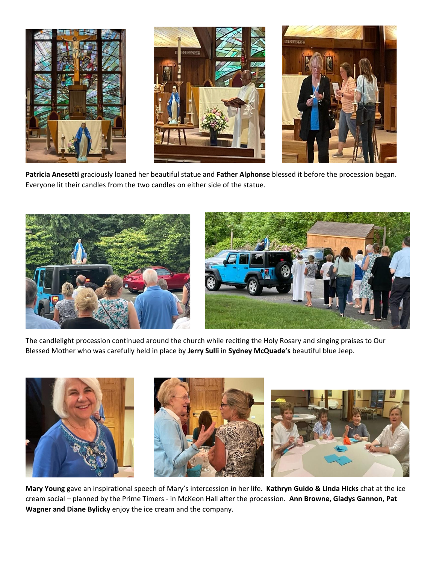

**Patricia Anesetti** graciously loaned her beautiful statue and **Father Alphonse** blessed it before the procession began. Everyone lit their candles from the two candles on either side of the statue.



The candlelight procession continued around the church while reciting the Holy Rosary and singing praises to Our Blessed Mother who was carefully held in place by **Jerry Sulli** in **Sydney McQuade's** beautiful blue Jeep.



**Mary Young** gave an inspirational speech of Mary's intercession in her life. **Kathryn Guido & Linda Hicks** chat at the ice cream social – planned by the Prime Timers - in McKeon Hall after the procession. **Ann Browne, Gladys Gannon, Pat Wagner and Diane Bylicky** enjoy the ice cream and the company.